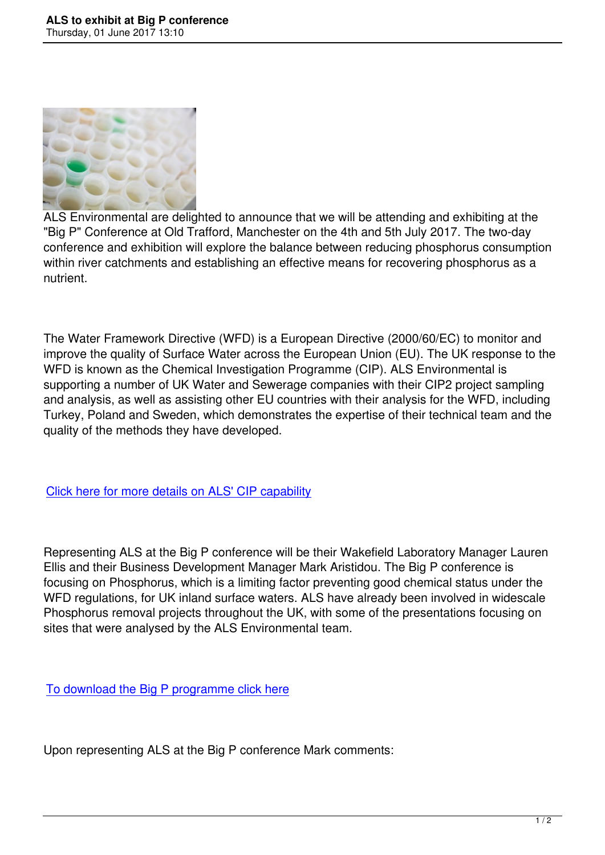

ALS Environmental are delighted to announce that we will be attending and exhibiting at the "Big P" Conference at Old Trafford, Manchester on the 4th and 5th July 2017. The two-day conference and exhibition will explore the balance between reducing phosphorus consumption within river catchments and establishing an effective means for recovering phosphorus as a nutrient.

The Water Framework Directive (WFD) is a European Directive (2000/60/EC) to monitor and improve the quality of Surface Water across the European Union (EU). The UK response to the WFD is known as the Chemical Investigation Programme (CIP). ALS Environmental is supporting a number of UK Water and Sewerage companies with their CIP2 project sampling and analysis, as well as assisting other EU countries with their analysis for the WFD, including Turkey, Poland and Sweden, which demonstrates the expertise of their technical team and the quality of the methods they have developed.

Click here for more details on ALS' CIP capability

[Representing ALS at the Big P conference will be](https://www.alsenvironmental.co.uk/media-uk/pdf/datasheets/waste-water/als_cip2_ability.pdf) their Wakefield Laboratory Manager Lauren Ellis and their Business Development Manager Mark Aristidou. The Big P conference is focusing on Phosphorus, which is a limiting factor preventing good chemical status under the WFD regulations, for UK inland surface waters. ALS have already been involved in widescale Phosphorus removal projects throughout the UK, with some of the presentations focusing on sites that were analysed by the ALS Environmental team.

To download the Big P programme click here

[Upon representing ALS at the Big P conferenc](http://www.aquaenviro.co.uk/wp-content/uploads/2017/05/The-BIG-Phosphorus-Conference-Draft-Programme.pdf)e Mark comments: